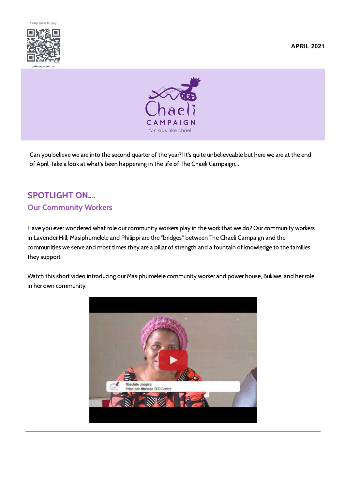

**APRIL 2021**



Can you believe we are into the second quarter of the year?! It's quite unbelieveable but here we are at the end of April. Take a look at what's been happening in the life of The Chaeli Campaign...

## SPOTLIGHT ON.... Our Community Workers

Have you ever wondered what role our community workers play in the work that we do? Our community workers in Lavender Hill, Masiphumelele and Philippi are the "bridges" between The Chaeli Campaign and the communities we serve and most times they are a pillar of strength and a fountain of knowledge to the families they support.

Watch this short video introducing our Masiphumelele community worker and power house, Bukiwe, and her role in her own community.

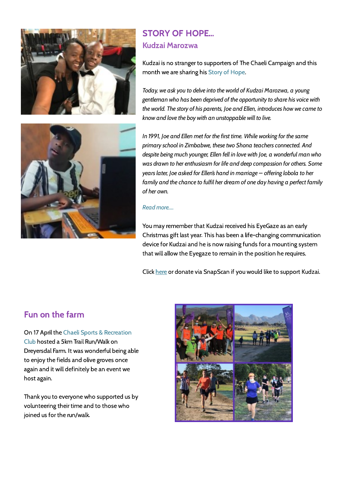



# STORY OF HOPE... Kudzai Marozwa

Kudzai is no stranger to supporters of The Chaeli Campaign and this month we are sharing his [Story of Hope.](https://chaelicampaign.org/kudzai-marozwa/)

*Today, we ask you to delve into the world of Kudzai Marozwa, a young gentleman who has been deprived of the opportunity to share his voice with the world. The story of his parents, Joe and Ellen, introduces how we came to know and love the boy with an unstoppable will to live.*

*In 1991, Joe and Ellen met for the first time. While working for the same primary school in Zimbabwe, these two Shona teachers connected. And despite being much younger, Ellen fell in love with Joe, a wonderful man who was drawn to her enthusiasm for life and deep compassion for others. Some years later, Joe asked for Ellen's hand in marriage – offering lobola to her family and the chance to fulfil her dream of one day having a perfect family of her own.*

#### *[Read more....](https://chaelicampaign.org/kudzai-marozwa/)*

You may remember that Kudzai received his EyeGaze as an early Christmas gift last year. This has been a life-changing communication device for Kudzai and he is now raising funds for a mounting system that will allow the Eyegaze to remain in the position he requires.

Click [here](https://www.givengain.com/cause/2384/campaigns/10772/) or donate via SnapScan if you would like to support Kudzai.

### Fun on the farm

[On 17 April the Chaeli Sports & Recreation](https://chaelisports.co.za/) Club hosted a 5km Trail Run/Walk on Dreyersdal Farm. It was wonderful being able to enjoy the fields and olive groves once again and it will definitely be an event we host again.

Thank you to everyone who supported us by volunteering their time and to those who joined us for the run/walk.